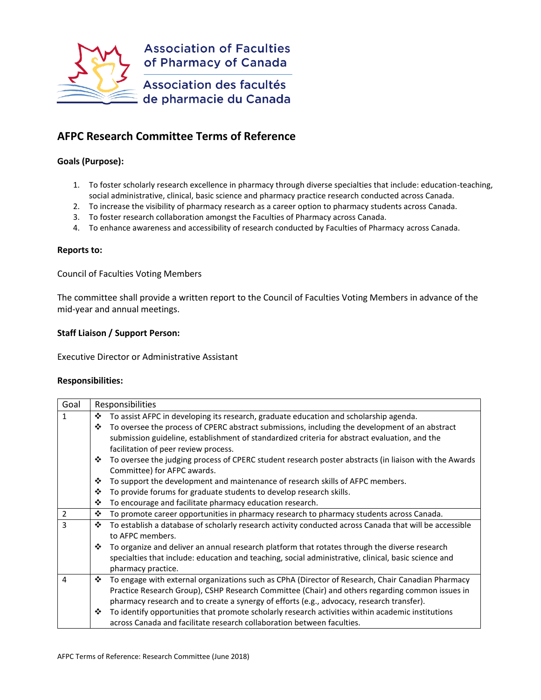

# **AFPC Research Committee Terms of Reference**

## **Goals (Purpose):**

- 1. To foster scholarly research excellence in pharmacy through diverse specialties that include: education-teaching, social administrative, clinical, basic science and pharmacy practice research conducted across Canada.
- 2. To increase the visibility of pharmacy research as a career option to pharmacy students across Canada.
- 3. To foster research collaboration amongst the Faculties of Pharmacy across Canada.
- 4. To enhance awareness and accessibility of research conducted by Faculties of Pharmacy across Canada.

#### **Reports to:**

Council of Faculties Voting Members

The committee shall provide a written report to the Council of Faculties Voting Members in advance of the mid-year and annual meetings.

### **Staff Liaison / Support Person:**

Executive Director or Administrative Assistant

#### **Responsibilities:**

| Goal | Responsibilities |                                                                                                        |
|------|------------------|--------------------------------------------------------------------------------------------------------|
| 1    | ❖                | To assist AFPC in developing its research, graduate education and scholarship agenda.                  |
|      | ❖                | To oversee the process of CPERC abstract submissions, including the development of an abstract         |
|      |                  | submission guideline, establishment of standardized criteria for abstract evaluation, and the          |
|      |                  | facilitation of peer review process.                                                                   |
|      | ❖                | To oversee the judging process of CPERC student research poster abstracts (in liaison with the Awards  |
|      |                  | Committee) for AFPC awards.                                                                            |
|      | ❖                | To support the development and maintenance of research skills of AFPC members.                         |
|      | ❖                | To provide forums for graduate students to develop research skills.                                    |
|      | ❖                | To encourage and facilitate pharmacy education research.                                               |
| 2    | ❖                | To promote career opportunities in pharmacy research to pharmacy students across Canada.               |
| 3    | ❖                | To establish a database of scholarly research activity conducted across Canada that will be accessible |
|      |                  | to AFPC members.                                                                                       |
|      | ❖                | To organize and deliver an annual research platform that rotates through the diverse research          |
|      |                  | specialties that include: education and teaching, social administrative, clinical, basic science and   |
|      |                  | pharmacy practice.                                                                                     |
| 4    | ❖                | To engage with external organizations such as CPhA (Director of Research, Chair Canadian Pharmacy      |
|      |                  | Practice Research Group), CSHP Research Committee (Chair) and others regarding common issues in        |
|      |                  | pharmacy research and to create a synergy of efforts (e.g., advocacy, research transfer).              |
|      | ❖                | To identify opportunities that promote scholarly research activities within academic institutions      |
|      |                  | across Canada and facilitate research collaboration between faculties.                                 |